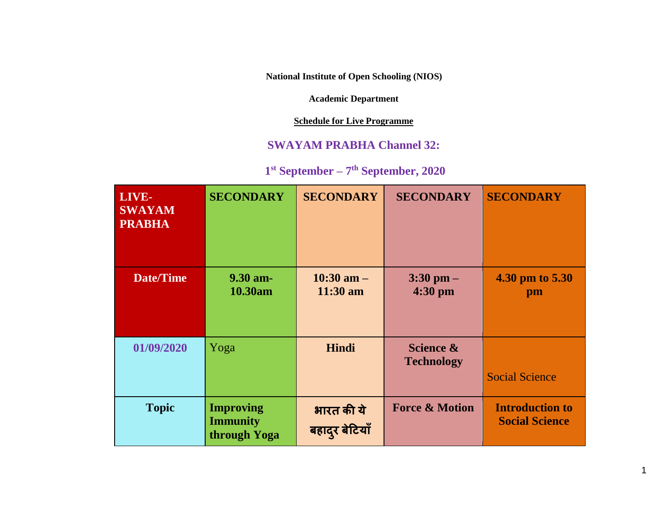**National Institute of Open Schooling (NIOS)**

**Academic Department**

**Schedule for Live Programme**

## **SWAYAM PRABHA Channel 32:**

## **1 st September – 7 th September, 2020**

| LIVE-<br><b>SWAYAM</b><br><b>PRABHA</b> | <b>SECONDARY</b>                                    | <b>SECONDARY</b>             | <b>SECONDARY</b>               | <b>SECONDARY</b>                                |
|-----------------------------------------|-----------------------------------------------------|------------------------------|--------------------------------|-------------------------------------------------|
| <b>Date/Time</b>                        | 9.30 am-<br>10.30am                                 | $10:30$ am $-$<br>$11:30$ am | $3:30$ pm $-$<br>4:30 pm       | 4.30 pm to 5.30<br>pm                           |
| 01/09/2020                              | Yoga                                                | Hindi                        | Science &<br><b>Technology</b> | <b>Social Science</b>                           |
| <b>Topic</b>                            | <b>Improving</b><br><b>Immunity</b><br>through Yoga | भारत की ये<br>बहादुर बेटियाँ | <b>Force &amp; Motion</b>      | <b>Introduction to</b><br><b>Social Science</b> |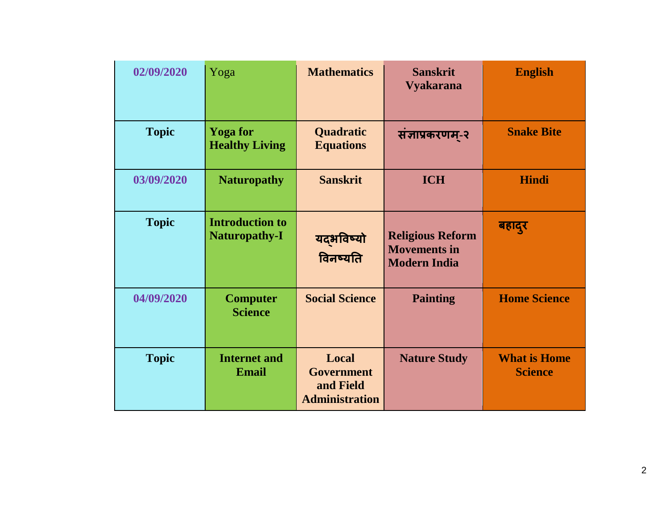| 02/09/2020   | Yoga                                           | <b>Mathematics</b>                                               | <b>Sanskrit</b><br><b>Vyakarana</b>                                   | <b>English</b>                        |
|--------------|------------------------------------------------|------------------------------------------------------------------|-----------------------------------------------------------------------|---------------------------------------|
| <b>Topic</b> | <b>Yoga</b> for<br><b>Healthy Living</b>       | Quadratic<br><b>Equations</b>                                    | सज्ञाप्रकरणम्-२                                                       | <b>Snake Bite</b>                     |
| 03/09/2020   | <b>Naturopathy</b>                             | <b>Sanskrit</b>                                                  | <b>ICH</b>                                                            | <b>Hindi</b>                          |
| <b>Topic</b> | <b>Introduction to</b><br><b>Naturopathy-I</b> | यद्भविष्यो<br>विनष्यति                                           | <b>Religious Reform</b><br><b>Movements in</b><br><b>Modern India</b> | बहादुर                                |
| 04/09/2020   | <b>Computer</b><br><b>Science</b>              | <b>Social Science</b>                                            | <b>Painting</b>                                                       | <b>Home Science</b>                   |
| <b>Topic</b> | <b>Internet and</b><br><b>Email</b>            | Local<br><b>Government</b><br>and Field<br><b>Administration</b> | <b>Nature Study</b>                                                   | <b>What is Home</b><br><b>Science</b> |